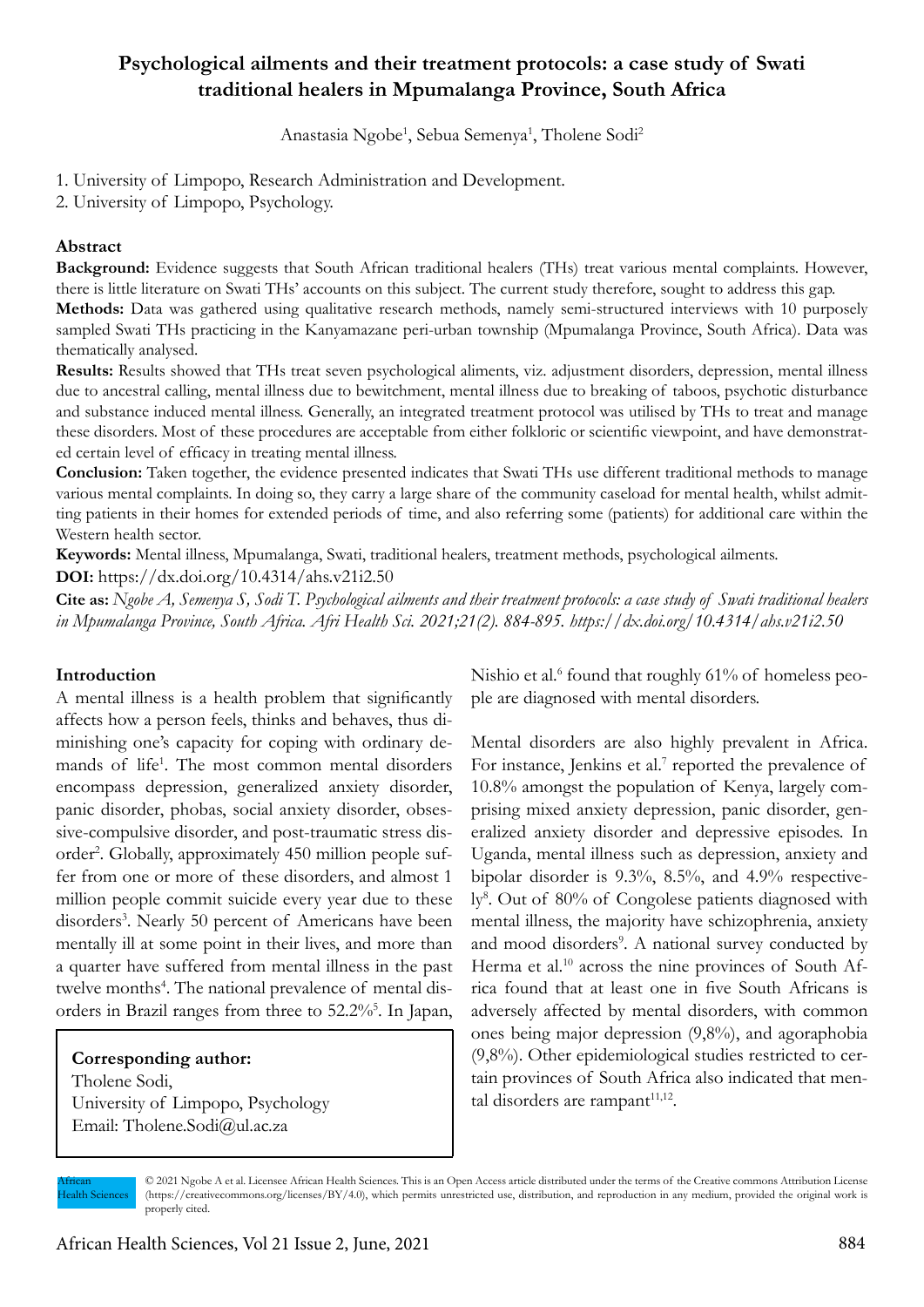# **Psychological ailments and their treatment protocols: a case study of Swati traditional healers in Mpumalanga Province, South Africa**

Anastasia Ngobe<sup>1</sup>, Sebua Semenya<sup>1</sup>, Tholene Sodi<sup>2</sup>

1. University of Limpopo, Research Administration and Development.

2. University of Limpopo, Psychology.

## **Abstract**

**Background:** Evidence suggests that South African traditional healers (THs) treat various mental complaints. However, there is little literature on Swati THs' accounts on this subject. The current study therefore, sought to address this gap.

**Methods:** Data was gathered using qualitative research methods, namely semi-structured interviews with 10 purposely sampled Swati THs practicing in the Kanyamazane peri-urban township (Mpumalanga Province, South Africa). Data was thematically analysed.

**Results:** Results showed that THs treat seven psychological aliments, viz. adjustment disorders, depression, mental illness due to ancestral calling, mental illness due to bewitchment, mental illness due to breaking of taboos, psychotic disturbance and substance induced mental illness. Generally, an integrated treatment protocol was utilised by THs to treat and manage these disorders. Most of these procedures are acceptable from either folkloric or scientific viewpoint, and have demonstrated certain level of efficacy in treating mental illness.

**Conclusion:** Taken together, the evidence presented indicates that Swati THs use different traditional methods to manage various mental complaints. In doing so, they carry a large share of the community caseload for mental health, whilst admitting patients in their homes for extended periods of time, and also referring some (patients) for additional care within the Western health sector.

**Keywords:** Mental illness, Mpumalanga, Swati, traditional healers, treatment methods, psychological ailments. **DOI:** https://dx.doi.org/10.4314/ahs.v21i2.50

**Cite as:** *Ngobe A, Semenya S, Sodi T. Psychological ailments and their treatment protocols: a case study of Swati traditional healers in Mpumalanga Province, South Africa. Afri Health Sci. 2021;21(2). 884-895. https://dx.doi.org/10.4314/ahs.v21i2.50*

# **Introduction**

A mental illness is a health problem that significantly affects how a person feels, thinks and behaves, thus diminishing one's capacity for coping with ordinary demands of life<sup>1</sup>. The most common mental disorders encompass depression, generalized anxiety disorder, panic disorder, phobas, social anxiety disorder, obsessive-compulsive disorder, and post-traumatic stress disorder<sup>2</sup>. Globally, approximately 450 million people suffer from one or more of these disorders, and almost 1 million people commit suicide every year due to these disorders<sup>3</sup>. Nearly 50 percent of Americans have been mentally ill at some point in their lives, and more than a quarter have suffered from mental illness in the past twelve months<sup>4</sup>. The national prevalence of mental disorders in Brazil ranges from three to 52.2%<sup>5</sup>. In Japan,

**Corresponding author:** Tholene Sodi, University of Limpopo, Psychology Email: Tholene.Sodi@ul.ac.za

Nishio et al.<sup>6</sup> found that roughly 61% of homeless people are diagnosed with mental disorders.

Mental disorders are also highly prevalent in Africa. For instance, Jenkins et al.<sup>7</sup> reported the prevalence of 10.8% amongst the population of Kenya, largely comprising mixed anxiety depression, panic disorder, generalized anxiety disorder and depressive episodes. In Uganda, mental illness such as depression, anxiety and bipolar disorder is 9.3%, 8.5%, and 4.9% respectively<sup>8</sup>. Out of 80% of Congolese patients diagnosed with mental illness, the majority have schizophrenia, anxiety and mood disorders<sup>9</sup>. A national survey conducted by Herma et al.<sup>10</sup> across the nine provinces of South Africa found that at least one in five South Africans is adversely affected by mental disorders, with common ones being major depression (9,8%), and agoraphobia (9,8%). Other epidemiological studies restricted to certain provinces of South Africa also indicated that mental disorders are rampant $11,12$ .

African Health Sciences

<sup>© 2021</sup> Ngobe A et al. Licensee African Health Sciences. This is an Open Access article distributed under the terms of the Creative commons Attribution License (https://creativecommons.org/licenses/BY/4.0), which permits unrestricted use, distribution, and reproduction in any medium, provided the original work is properly cited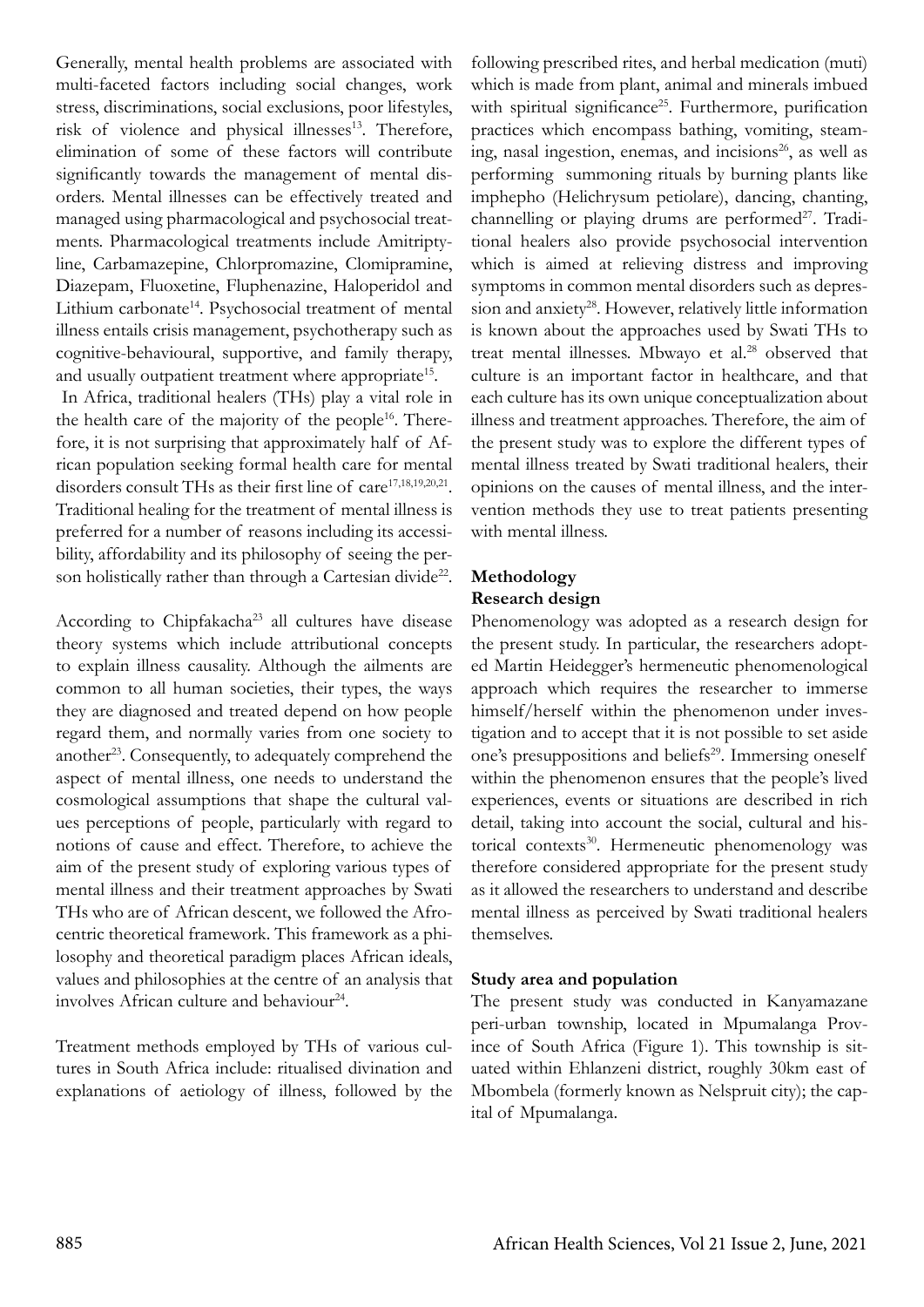Generally, mental health problems are associated with multi-faceted factors including social changes, work stress, discriminations, social exclusions, poor lifestyles, risk of violence and physical illnesses<sup>13</sup>. Therefore, elimination of some of these factors will contribute significantly towards the management of mental disorders. Mental illnesses can be effectively treated and managed using pharmacological and psychosocial treatments. Pharmacological treatments include Amitriptyline, Carbamazepine, Chlorpromazine, Clomipramine, Diazepam, Fluoxetine, Fluphenazine, Haloperidol and Lithium carbonate<sup>14</sup>. Psychosocial treatment of mental illness entails crisis management, psychotherapy such as cognitive-behavioural, supportive, and family therapy, and usually outpatient treatment where appropriate<sup>15</sup>.

 In Africa, traditional healers (THs) play a vital role in the health care of the majority of the people<sup>16</sup>. Therefore, it is not surprising that approximately half of African population seeking formal health care for mental disorders consult THs as their first line of care<sup>17,18,19,20,21</sup>. Traditional healing for the treatment of mental illness is preferred for a number of reasons including its accessibility, affordability and its philosophy of seeing the person holistically rather than through a Cartesian divide<sup>22</sup>.

According to Chipfakacha<sup>23</sup> all cultures have disease theory systems which include attributional concepts to explain illness causality. Although the ailments are common to all human societies, their types, the ways they are diagnosed and treated depend on how people regard them, and normally varies from one society to another<sup>23</sup>. Consequently, to adequately comprehend the aspect of mental illness, one needs to understand the cosmological assumptions that shape the cultural values perceptions of people, particularly with regard to notions of cause and effect. Therefore, to achieve the aim of the present study of exploring various types of mental illness and their treatment approaches by Swati THs who are of African descent, we followed the Afrocentric theoretical framework. This framework as a philosophy and theoretical paradigm places African ideals, values and philosophies at the centre of an analysis that involves African culture and behaviour<sup>24</sup>.

Treatment methods employed by THs of various cultures in South Africa include: ritualised divination and explanations of aetiology of illness, followed by the

following prescribed rites, and herbal medication (muti) which is made from plant, animal and minerals imbued with spiritual significance<sup>25</sup>. Furthermore, purification practices which encompass bathing, vomiting, steaming, nasal ingestion, enemas, and incisions $26$ , as well as performing summoning rituals by burning plants like imphepho (Helichrysum petiolare), dancing, chanting, channelling or playing drums are performed $27$ . Traditional healers also provide psychosocial intervention which is aimed at relieving distress and improving symptoms in common mental disorders such as depression and anxiety<sup>28</sup>. However, relatively little information is known about the approaches used by Swati THs to treat mental illnesses. Mbwayo et al.<sup>28</sup> observed that culture is an important factor in healthcare, and that each culture has its own unique conceptualization about illness and treatment approaches. Therefore, the aim of the present study was to explore the different types of mental illness treated by Swati traditional healers, their opinions on the causes of mental illness, and the intervention methods they use to treat patients presenting with mental illness.

# **Methodology Research design**

Phenomenology was adopted as a research design for the present study. In particular, the researchers adopted Martin Heidegger's hermeneutic phenomenological approach which requires the researcher to immerse himself/herself within the phenomenon under investigation and to accept that it is not possible to set aside one's presuppositions and beliefs<sup>29</sup>. Immersing oneself within the phenomenon ensures that the people's lived experiences, events or situations are described in rich detail, taking into account the social, cultural and historical contexts<sup>30</sup>. Hermeneutic phenomenology was therefore considered appropriate for the present study as it allowed the researchers to understand and describe mental illness as perceived by Swati traditional healers themselves.

# **Study area and population**

The present study was conducted in Kanyamazane peri-urban township, located in Mpumalanga Province of South Africa (Figure 1). This township is situated within Ehlanzeni district, roughly 30km east of Mbombela (formerly known as Nelspruit city); the capital of Mpumalanga.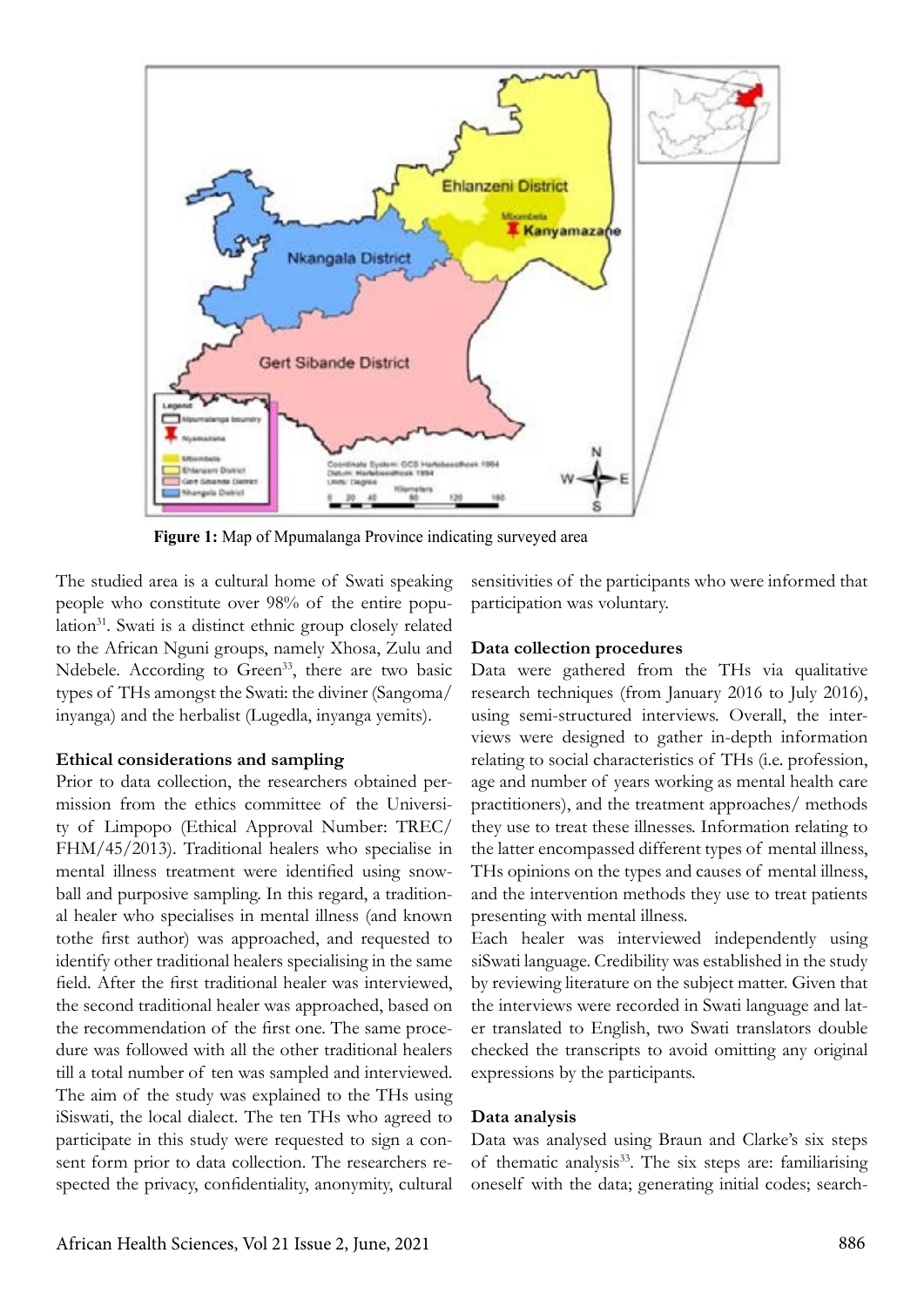

 **Figure 1:** Map of Mpumalanga Province indicating surveyed area

The studied area is a cultural home of Swati speaking people who constitute over 98% of the entire population<sup>31</sup>. Swati is a distinct ethnic group closely related to the African Nguni groups, namely Xhosa, Zulu and Ndebele. According to Green<sup>33</sup>, there are two basic types of THs amongst the Swati: the diviner (Sangoma/ inyanga) and the herbalist (Lugedla, inyanga yemits).

#### **Ethical considerations and sampling**

Prior to data collection, the researchers obtained permission from the ethics committee of the University of Limpopo (Ethical Approval Number: TREC/ FHM/45/2013). Traditional healers who specialise in mental illness treatment were identified using snowball and purposive sampling. In this regard, a traditional healer who specialises in mental illness (and known tothe first author) was approached, and requested to identify other traditional healers specialising in the same field. After the first traditional healer was interviewed, the second traditional healer was approached, based on the recommendation of the first one. The same procedure was followed with all the other traditional healers till a total number of ten was sampled and interviewed. The aim of the study was explained to the THs using iSiswati, the local dialect. The ten THs who agreed to participate in this study were requested to sign a consent form prior to data collection. The researchers respected the privacy, confidentiality, anonymity, cultural sensitivities of the participants who were informed that participation was voluntary.

#### **Data collection procedures**

Data were gathered from the THs via qualitative research techniques (from January 2016 to July 2016), using semi-structured interviews. Overall, the interviews were designed to gather in-depth information relating to social characteristics of THs (i.e. profession, age and number of years working as mental health care practitioners), and the treatment approaches/ methods they use to treat these illnesses. Information relating to the latter encompassed different types of mental illness, THs opinions on the types and causes of mental illness, and the intervention methods they use to treat patients presenting with mental illness.

Each healer was interviewed independently using siSwati language. Credibility was established in the study by reviewing literature on the subject matter. Given that the interviews were recorded in Swati language and later translated to English, two Swati translators double checked the transcripts to avoid omitting any original expressions by the participants.

#### **Data analysis**

Data was analysed using Braun and Clarke's six steps of thematic analysis<sup>33</sup>. The six steps are: familiarising oneself with the data; generating initial codes; search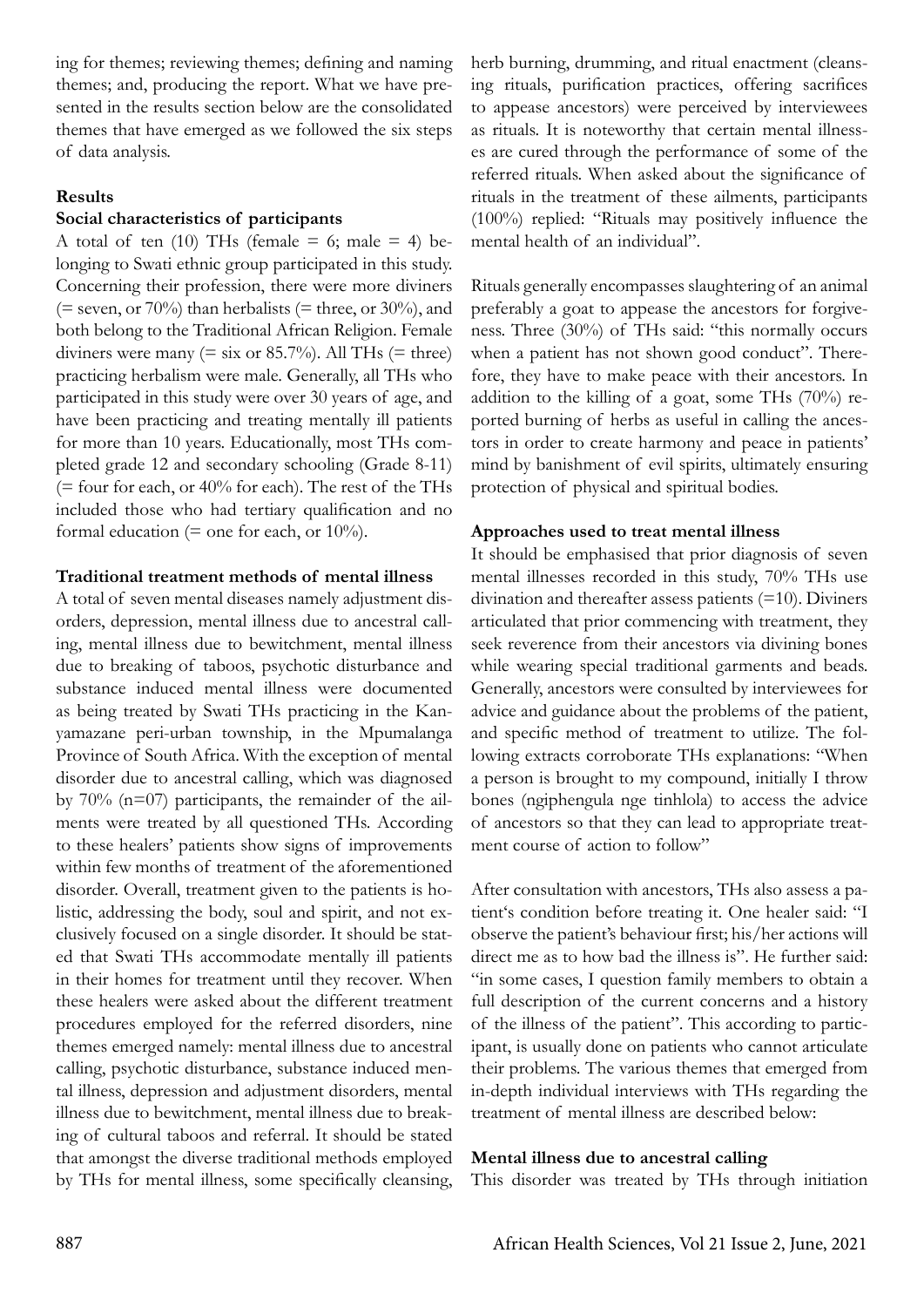ing for themes; reviewing themes; defining and naming themes; and, producing the report. What we have presented in the results section below are the consolidated themes that have emerged as we followed the six steps of data analysis.

## **Results**

## **Social characteristics of participants**

A total of ten (10) THs (female  $= 6$ ; male  $= 4$ ) belonging to Swati ethnic group participated in this study. Concerning their profession, there were more diviners (= seven, or 70%) than herbalists (= three, or 30%), and both belong to the Traditional African Religion. Female diviners were many (= six or 85.7%). All THs (= three) practicing herbalism were male. Generally, all THs who participated in this study were over 30 years of age, and have been practicing and treating mentally ill patients for more than 10 years. Educationally, most THs completed grade 12 and secondary schooling (Grade 8-11)  $(=$  four for each, or 40% for each). The rest of the THs included those who had tertiary qualification and no formal education (= one for each, or  $10\%$ ).

## **Traditional treatment methods of mental illness**

A total of seven mental diseases namely adjustment disorders, depression, mental illness due to ancestral calling, mental illness due to bewitchment, mental illness due to breaking of taboos, psychotic disturbance and substance induced mental illness were documented as being treated by Swati THs practicing in the Kanyamazane peri-urban township, in the Mpumalanga Province of South Africa. With the exception of mental disorder due to ancestral calling, which was diagnosed by  $70\%$  ( $n=07$ ) participants, the remainder of the ailments were treated by all questioned THs. According to these healers' patients show signs of improvements within few months of treatment of the aforementioned disorder. Overall, treatment given to the patients is holistic, addressing the body, soul and spirit, and not exclusively focused on a single disorder. It should be stated that Swati THs accommodate mentally ill patients in their homes for treatment until they recover. When these healers were asked about the different treatment procedures employed for the referred disorders, nine themes emerged namely: mental illness due to ancestral calling, psychotic disturbance, substance induced mental illness, depression and adjustment disorders, mental illness due to bewitchment, mental illness due to breaking of cultural taboos and referral. It should be stated that amongst the diverse traditional methods employed by THs for mental illness, some specifically cleansing,

herb burning, drumming, and ritual enactment (cleansing rituals, purification practices, offering sacrifices to appease ancestors) were perceived by interviewees as rituals. It is noteworthy that certain mental illnesses are cured through the performance of some of the referred rituals. When asked about the significance of rituals in the treatment of these ailments, participants (100%) replied: "Rituals may positively influence the mental health of an individual".

Rituals generally encompasses slaughtering of an animal preferably a goat to appease the ancestors for forgiveness. Three (30%) of THs said: "this normally occurs when a patient has not shown good conduct". Therefore, they have to make peace with their ancestors. In addition to the killing of a goat, some THs (70%) reported burning of herbs as useful in calling the ancestors in order to create harmony and peace in patients' mind by banishment of evil spirits, ultimately ensuring protection of physical and spiritual bodies.

## **Approaches used to treat mental illness**

It should be emphasised that prior diagnosis of seven mental illnesses recorded in this study, 70% THs use divination and thereafter assess patients (=10). Diviners articulated that prior commencing with treatment, they seek reverence from their ancestors via divining bones while wearing special traditional garments and beads. Generally, ancestors were consulted by interviewees for advice and guidance about the problems of the patient, and specific method of treatment to utilize. The following extracts corroborate THs explanations: "When a person is brought to my compound, initially I throw bones (ngiphengula nge tinhlola) to access the advice of ancestors so that they can lead to appropriate treatment course of action to follow"

After consultation with ancestors, THs also assess a patient's condition before treating it. One healer said: "I observe the patient's behaviour first; his/her actions will direct me as to how bad the illness is". He further said: "in some cases, I question family members to obtain a full description of the current concerns and a history of the illness of the patient". This according to participant, is usually done on patients who cannot articulate their problems. The various themes that emerged from in-depth individual interviews with THs regarding the treatment of mental illness are described below:

## **Mental illness due to ancestral calling**

This disorder was treated by THs through initiation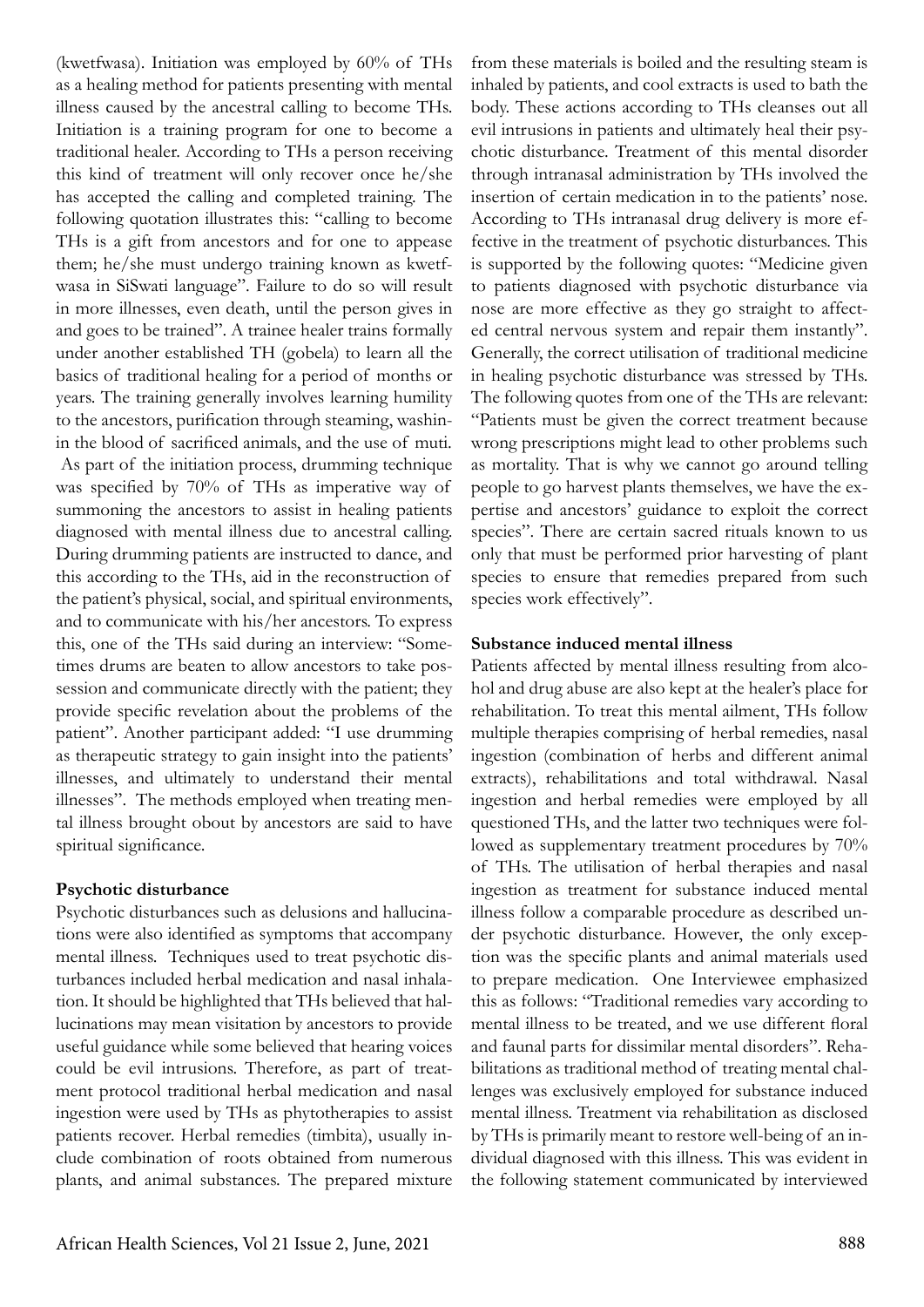(kwetfwasa). Initiation was employed by 60% of THs as a healing method for patients presenting with mental illness caused by the ancestral calling to become THs. Initiation is a training program for one to become a traditional healer. According to THs a person receiving this kind of treatment will only recover once he/she has accepted the calling and completed training. The following quotation illustrates this: "calling to become THs is a gift from ancestors and for one to appease them; he/she must undergo training known as kwetfwasa in SiSwati language". Failure to do so will result in more illnesses, even death, until the person gives in and goes to be trained". A trainee healer trains formally under another established TH (gobela) to learn all the basics of traditional healing for a period of months or years. The training generally involves learning humility to the ancestors, purification through steaming, washinin the blood of sacrificed animals, and the use of muti. As part of the initiation process, drumming technique was specified by 70% of THs as imperative way of summoning the ancestors to assist in healing patients diagnosed with mental illness due to ancestral calling. During drumming patients are instructed to dance, and this according to the THs, aid in the reconstruction of the patient's physical, social, and spiritual environments, and to communicate with his/her ancestors. To express this, one of the THs said during an interview: "Sometimes drums are beaten to allow ancestors to take possession and communicate directly with the patient; they provide specific revelation about the problems of the patient". Another participant added: "I use drumming as therapeutic strategy to gain insight into the patients' illnesses, and ultimately to understand their mental illnesses". The methods employed when treating mental illness brought obout by ancestors are said to have spiritual significance.

# **Psychotic disturbance**

Psychotic disturbances such as delusions and hallucinations were also identified as symptoms that accompany mental illness. Techniques used to treat psychotic disturbances included herbal medication and nasal inhalation. It should be highlighted that THs believed that hallucinations may mean visitation by ancestors to provide useful guidance while some believed that hearing voices could be evil intrusions. Therefore, as part of treatment protocol traditional herbal medication and nasal ingestion were used by THs as phytotherapies to assist patients recover. Herbal remedies (timbita), usually include combination of roots obtained from numerous plants, and animal substances. The prepared mixture

from these materials is boiled and the resulting steam is inhaled by patients, and cool extracts is used to bath the body. These actions according to THs cleanses out all evil intrusions in patients and ultimately heal their psychotic disturbance. Treatment of this mental disorder through intranasal administration by THs involved the insertion of certain medication in to the patients' nose. According to THs intranasal drug delivery is more effective in the treatment of psychotic disturbances. This is supported by the following quotes: "Medicine given to patients diagnosed with psychotic disturbance via nose are more effective as they go straight to affected central nervous system and repair them instantly". Generally, the correct utilisation of traditional medicine in healing psychotic disturbance was stressed by THs. The following quotes from one of the THs are relevant: "Patients must be given the correct treatment because wrong prescriptions might lead to other problems such as mortality. That is why we cannot go around telling people to go harvest plants themselves, we have the expertise and ancestors' guidance to exploit the correct species". There are certain sacred rituals known to us only that must be performed prior harvesting of plant species to ensure that remedies prepared from such species work effectively".

## **Substance induced mental illness**

Patients affected by mental illness resulting from alcohol and drug abuse are also kept at the healer's place for rehabilitation. To treat this mental ailment, THs follow multiple therapies comprising of herbal remedies, nasal ingestion (combination of herbs and different animal extracts), rehabilitations and total withdrawal. Nasal ingestion and herbal remedies were employed by all questioned THs, and the latter two techniques were followed as supplementary treatment procedures by 70% of THs. The utilisation of herbal therapies and nasal ingestion as treatment for substance induced mental illness follow a comparable procedure as described under psychotic disturbance. However, the only exception was the specific plants and animal materials used to prepare medication. One Interviewee emphasized this as follows: "Traditional remedies vary according to mental illness to be treated, and we use different floral and faunal parts for dissimilar mental disorders". Rehabilitations as traditional method of treating mental challenges was exclusively employed for substance induced mental illness. Treatment via rehabilitation as disclosed by THs is primarily meant to restore well-being of an individual diagnosed with this illness. This was evident in the following statement communicated by interviewed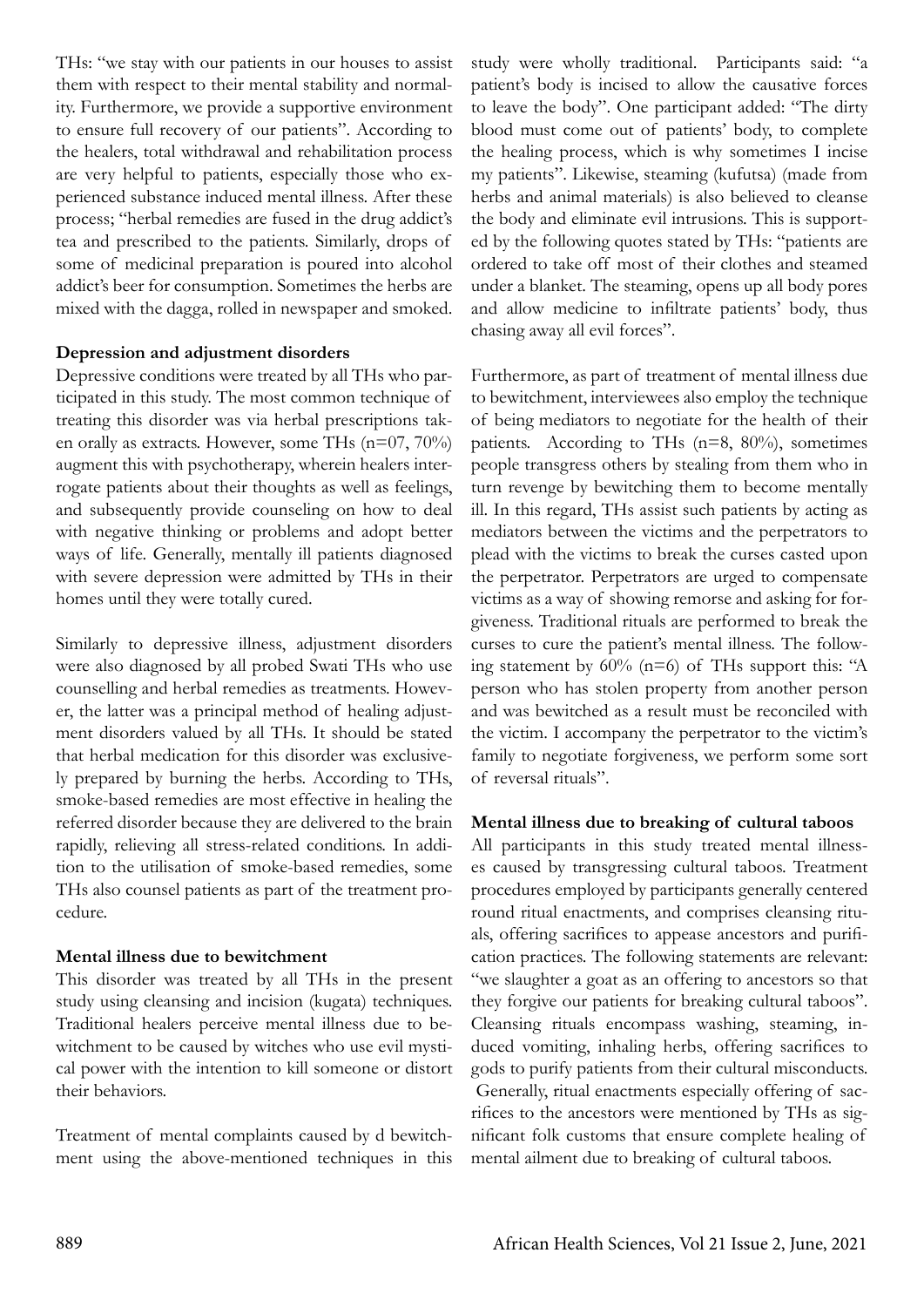THs: "we stay with our patients in our houses to assist them with respect to their mental stability and normality. Furthermore, we provide a supportive environment to ensure full recovery of our patients". According to the healers, total withdrawal and rehabilitation process are very helpful to patients, especially those who experienced substance induced mental illness. After these process; "herbal remedies are fused in the drug addict's tea and prescribed to the patients. Similarly, drops of some of medicinal preparation is poured into alcohol addict's beer for consumption. Sometimes the herbs are mixed with the dagga, rolled in newspaper and smoked.

## **Depression and adjustment disorders**

Depressive conditions were treated by all THs who participated in this study. The most common technique of treating this disorder was via herbal prescriptions taken orally as extracts. However, some THs (n=07, 70%) augment this with psychotherapy, wherein healers interrogate patients about their thoughts as well as feelings, and subsequently provide counseling on how to deal with negative thinking or problems and adopt better ways of life. Generally, mentally ill patients diagnosed with severe depression were admitted by THs in their homes until they were totally cured.

Similarly to depressive illness, adjustment disorders were also diagnosed by all probed Swati THs who use counselling and herbal remedies as treatments. However, the latter was a principal method of healing adjustment disorders valued by all THs. It should be stated that herbal medication for this disorder was exclusively prepared by burning the herbs. According to THs, smoke-based remedies are most effective in healing the referred disorder because they are delivered to the brain rapidly, relieving all stress-related conditions. In addition to the utilisation of smoke-based remedies, some THs also counsel patients as part of the treatment procedure.

# **Mental illness due to bewitchment**

This disorder was treated by all THs in the present study using cleansing and incision (kugata) techniques. Traditional healers perceive mental illness due to bewitchment to be caused by witches who use evil mystical power with the intention to kill someone or distort their behaviors.

Treatment of mental complaints caused by d bewitchment using the above-mentioned techniques in this study were wholly traditional. Participants said: "a patient's body is incised to allow the causative forces to leave the body". One participant added: "The dirty blood must come out of patients' body, to complete the healing process, which is why sometimes I incise my patients". Likewise, steaming (kufutsa) (made from herbs and animal materials) is also believed to cleanse the body and eliminate evil intrusions. This is supported by the following quotes stated by THs: "patients are ordered to take off most of their clothes and steamed under a blanket. The steaming, opens up all body pores and allow medicine to infiltrate patients' body, thus chasing away all evil forces".

Furthermore, as part of treatment of mental illness due to bewitchment, interviewees also employ the technique of being mediators to negotiate for the health of their patients. According to THs  $(n=8, 80\%)$ , sometimes people transgress others by stealing from them who in turn revenge by bewitching them to become mentally ill. In this regard, THs assist such patients by acting as mediators between the victims and the perpetrators to plead with the victims to break the curses casted upon the perpetrator. Perpetrators are urged to compensate victims as a way of showing remorse and asking for forgiveness. Traditional rituals are performed to break the curses to cure the patient's mental illness. The following statement by 60% (n=6) of THs support this: "A person who has stolen property from another person and was bewitched as a result must be reconciled with the victim. I accompany the perpetrator to the victim's family to negotiate forgiveness, we perform some sort of reversal rituals".

# **Mental illness due to breaking of cultural taboos**

All participants in this study treated mental illnesses caused by transgressing cultural taboos. Treatment procedures employed by participants generally centered round ritual enactments, and comprises cleansing rituals, offering sacrifices to appease ancestors and purification practices. The following statements are relevant: "we slaughter a goat as an offering to ancestors so that they forgive our patients for breaking cultural taboos". Cleansing rituals encompass washing, steaming, induced vomiting, inhaling herbs, offering sacrifices to gods to purify patients from their cultural misconducts. Generally, ritual enactments especially offering of sacrifices to the ancestors were mentioned by THs as significant folk customs that ensure complete healing of mental ailment due to breaking of cultural taboos.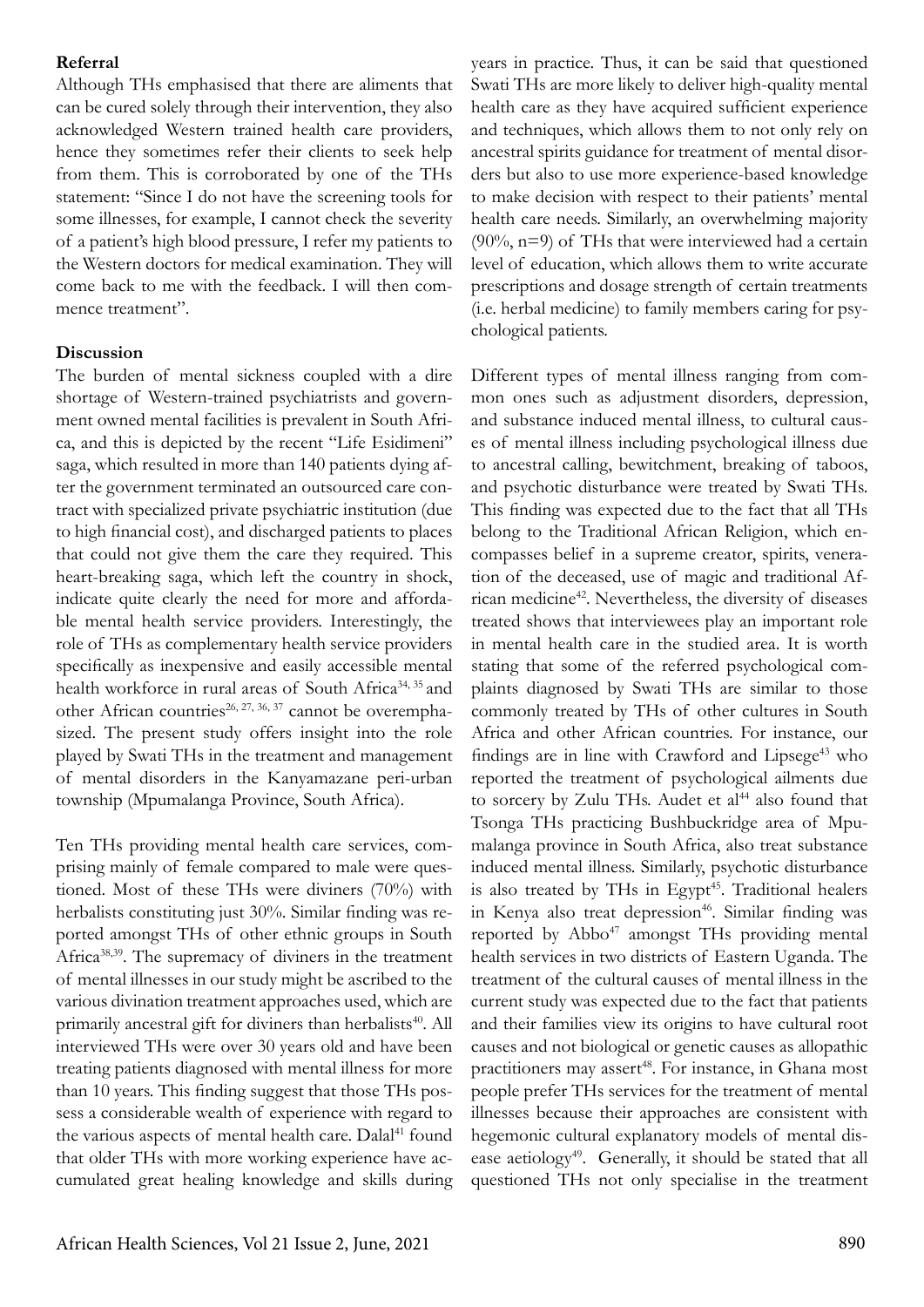#### **Referral**

Although THs emphasised that there are aliments that can be cured solely through their intervention, they also acknowledged Western trained health care providers, hence they sometimes refer their clients to seek help from them. This is corroborated by one of the THs statement: "Since I do not have the screening tools for some illnesses, for example, I cannot check the severity of a patient's high blood pressure, I refer my patients to the Western doctors for medical examination. They will come back to me with the feedback. I will then commence treatment".

## **Discussion**

The burden of mental sickness coupled with a dire shortage of Western-trained psychiatrists and government owned mental facilities is prevalent in South Africa, and this is depicted by the recent "Life Esidimeni" saga, which resulted in more than 140 patients dying after the government terminated an outsourced care contract with specialized private psychiatric institution (due to high financial cost), and discharged patients to places that could not give them the care they required. This heart-breaking saga, which left the country in shock, indicate quite clearly the need for more and affordable mental health service providers. Interestingly, the role of THs as complementary health service providers specifically as inexpensive and easily accessible mental health workforce in rural areas of South Africa<sup>34, 35</sup> and other African countries<sup>26, 27, 36, 37</sup> cannot be overemphasized. The present study offers insight into the role played by Swati THs in the treatment and management of mental disorders in the Kanyamazane peri-urban township (Mpumalanga Province, South Africa).

Ten THs providing mental health care services, comprising mainly of female compared to male were questioned. Most of these THs were diviners (70%) with herbalists constituting just 30%. Similar finding was reported amongst THs of other ethnic groups in South Africa38,39. The supremacy of diviners in the treatment of mental illnesses in our study might be ascribed to the various divination treatment approaches used, which are primarily ancestral gift for diviners than herbalists<sup>40</sup>. All interviewed THs were over 30 years old and have been treating patients diagnosed with mental illness for more than 10 years. This finding suggest that those THs possess a considerable wealth of experience with regard to the various aspects of mental health care. Dalal<sup>41</sup> found that older THs with more working experience have accumulated great healing knowledge and skills during years in practice. Thus, it can be said that questioned Swati THs are more likely to deliver high-quality mental health care as they have acquired sufficient experience and techniques, which allows them to not only rely on ancestral spirits guidance for treatment of mental disorders but also to use more experience-based knowledge to make decision with respect to their patients' mental health care needs. Similarly, an overwhelming majority (90%, n=9) of THs that were interviewed had a certain level of education, which allows them to write accurate prescriptions and dosage strength of certain treatments (i.e. herbal medicine) to family members caring for psychological patients.

Different types of mental illness ranging from common ones such as adjustment disorders, depression, and substance induced mental illness, to cultural causes of mental illness including psychological illness due to ancestral calling, bewitchment, breaking of taboos, and psychotic disturbance were treated by Swati THs. This finding was expected due to the fact that all THs belong to the Traditional African Religion, which encompasses belief in a supreme creator, spirits, veneration of the deceased, use of magic and traditional African medicine42. Nevertheless, the diversity of diseases treated shows that interviewees play an important role in mental health care in the studied area. It is worth stating that some of the referred psychological complaints diagnosed by Swati THs are similar to those commonly treated by THs of other cultures in South Africa and other African countries. For instance, our findings are in line with Crawford and Lipsege $43$  who reported the treatment of psychological ailments due to sorcery by Zulu THs. Audet et  $al<sup>44</sup>$  also found that Tsonga THs practicing Bushbuckridge area of Mpumalanga province in South Africa, also treat substance induced mental illness. Similarly, psychotic disturbance is also treated by THs in Egypt<sup>45</sup>. Traditional healers in Kenya also treat depression<sup>46</sup>. Similar finding was reported by Abbo<sup>47</sup> amongst THs providing mental health services in two districts of Eastern Uganda. The treatment of the cultural causes of mental illness in the current study was expected due to the fact that patients and their families view its origins to have cultural root causes and not biological or genetic causes as allopathic practitioners may assert<sup>48</sup>. For instance, in Ghana most people prefer THs services for the treatment of mental illnesses because their approaches are consistent with hegemonic cultural explanatory models of mental disease aetiology<sup>49</sup>. Generally, it should be stated that all questioned THs not only specialise in the treatment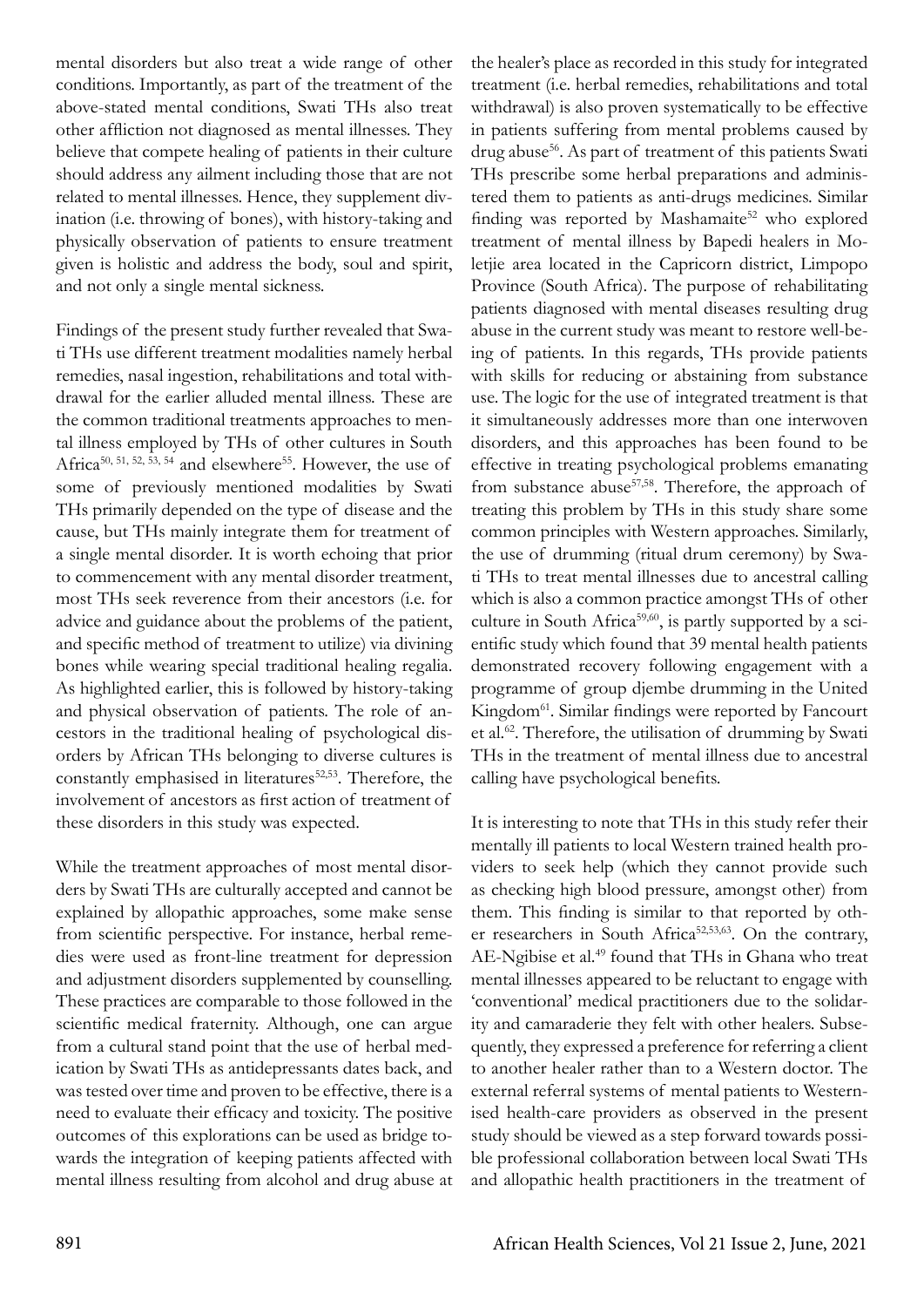mental disorders but also treat a wide range of other conditions. Importantly, as part of the treatment of the above-stated mental conditions, Swati THs also treat other affliction not diagnosed as mental illnesses. They believe that compete healing of patients in their culture should address any ailment including those that are not related to mental illnesses. Hence, they supplement divination (i.e. throwing of bones), with history-taking and physically observation of patients to ensure treatment given is holistic and address the body, soul and spirit, and not only a single mental sickness.

Findings of the present study further revealed that Swati THs use different treatment modalities namely herbal remedies, nasal ingestion, rehabilitations and total withdrawal for the earlier alluded mental illness. These are the common traditional treatments approaches to mental illness employed by THs of other cultures in South Africa<sup>50, 51, 52, 53, 54</sup> and elsewhere<sup>55</sup>. However, the use of some of previously mentioned modalities by Swati THs primarily depended on the type of disease and the cause, but THs mainly integrate them for treatment of a single mental disorder. It is worth echoing that prior to commencement with any mental disorder treatment, most THs seek reverence from their ancestors (i.e. for advice and guidance about the problems of the patient, and specific method of treatment to utilize) via divining bones while wearing special traditional healing regalia. As highlighted earlier, this is followed by history-taking and physical observation of patients. The role of ancestors in the traditional healing of psychological disorders by African THs belonging to diverse cultures is constantly emphasised in literatures<sup>52,53</sup>. Therefore, the involvement of ancestors as first action of treatment of these disorders in this study was expected.

While the treatment approaches of most mental disorders by Swati THs are culturally accepted and cannot be explained by allopathic approaches, some make sense from scientific perspective. For instance, herbal remedies were used as front-line treatment for depression and adjustment disorders supplemented by counselling. These practices are comparable to those followed in the scientific medical fraternity. Although, one can argue from a cultural stand point that the use of herbal medication by Swati THs as antidepressants dates back, and was tested over time and proven to be effective, there is a need to evaluate their efficacy and toxicity. The positive outcomes of this explorations can be used as bridge towards the integration of keeping patients affected with mental illness resulting from alcohol and drug abuse at

the healer's place as recorded in this study for integrated treatment (i.e. herbal remedies, rehabilitations and total withdrawal) is also proven systematically to be effective in patients suffering from mental problems caused by drug abuse<sup>56</sup>. As part of treatment of this patients Swati THs prescribe some herbal preparations and administered them to patients as anti-drugs medicines. Similar finding was reported by Mashamaite<sup>52</sup> who explored treatment of mental illness by Bapedi healers in Moletjie area located in the Capricorn district, Limpopo Province (South Africa). The purpose of rehabilitating patients diagnosed with mental diseases resulting drug abuse in the current study was meant to restore well-being of patients. In this regards, THs provide patients with skills for reducing or abstaining from substance use. The logic for the use of integrated treatment is that it simultaneously addresses more than one interwoven disorders, and this approaches has been found to be effective in treating psychological problems emanating from substance abuse<sup>57,58</sup>. Therefore, the approach of treating this problem by THs in this study share some common principles with Western approaches. Similarly, the use of drumming (ritual drum ceremony) by Swati THs to treat mental illnesses due to ancestral calling which is also a common practice amongst THs of other culture in South Africa<sup>59,60</sup>, is partly supported by a scientific study which found that 39 mental health patients demonstrated recovery following engagement with a programme of group djembe drumming in the United Kingdom<sup>61</sup>. Similar findings were reported by Fancourt et al.62. Therefore, the utilisation of drumming by Swati THs in the treatment of mental illness due to ancestral calling have psychological benefits.

It is interesting to note that THs in this study refer their mentally ill patients to local Western trained health providers to seek help (which they cannot provide such as checking high blood pressure, amongst other) from them. This finding is similar to that reported by other researchers in South Africa<sup>52,53,63</sup>. On the contrary, AE-Ngibise et al.<sup>49</sup> found that THs in Ghana who treat mental illnesses appeared to be reluctant to engage with 'conventional' medical practitioners due to the solidarity and camaraderie they felt with other healers. Subsequently, they expressed a preference for referring a client to another healer rather than to a Western doctor. The external referral systems of mental patients to Westernised health-care providers as observed in the present study should be viewed as a step forward towards possible professional collaboration between local Swati THs and allopathic health practitioners in the treatment of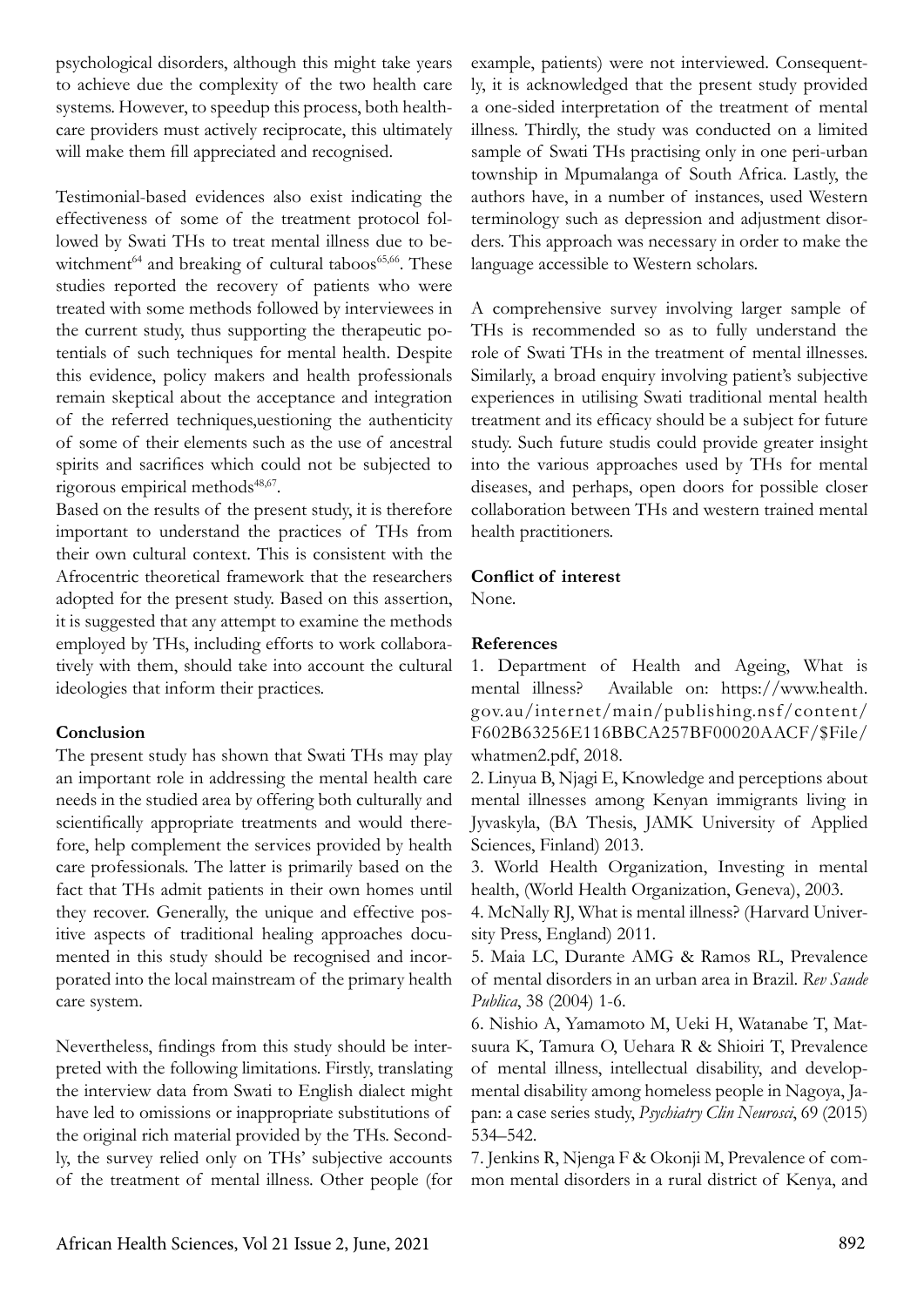psychological disorders, although this might take years to achieve due the complexity of the two health care systems. However, to speedup this process, both healthcare providers must actively reciprocate, this ultimately will make them fill appreciated and recognised.

Testimonial-based evidences also exist indicating the effectiveness of some of the treatment protocol followed by Swati THs to treat mental illness due to bewitchment<sup>64</sup> and breaking of cultural taboos<sup>65,66</sup>. These studies reported the recovery of patients who were treated with some methods followed by interviewees in the current study, thus supporting the therapeutic potentials of such techniques for mental health. Despite this evidence, policy makers and health professionals remain skeptical about the acceptance and integration of the referred techniques,uestioning the authenticity of some of their elements such as the use of ancestral spirits and sacrifices which could not be subjected to rigorous empirical methods<sup>48,67</sup>.

Based on the results of the present study, it is therefore important to understand the practices of THs from their own cultural context. This is consistent with the Afrocentric theoretical framework that the researchers adopted for the present study. Based on this assertion, it is suggested that any attempt to examine the methods employed by THs, including efforts to work collaboratively with them, should take into account the cultural ideologies that inform their practices.

# **Conclusion**

The present study has shown that Swati THs may play an important role in addressing the mental health care needs in the studied area by offering both culturally and scientifically appropriate treatments and would therefore, help complement the services provided by health care professionals. The latter is primarily based on the fact that THs admit patients in their own homes until they recover. Generally, the unique and effective positive aspects of traditional healing approaches documented in this study should be recognised and incorporated into the local mainstream of the primary health care system.

Nevertheless, findings from this study should be interpreted with the following limitations. Firstly, translating the interview data from Swati to English dialect might have led to omissions or inappropriate substitutions of the original rich material provided by the THs. Secondly, the survey relied only on THs' subjective accounts of the treatment of mental illness. Other people (for

example, patients) were not interviewed. Consequently, it is acknowledged that the present study provided a one-sided interpretation of the treatment of mental illness. Thirdly, the study was conducted on a limited sample of Swati THs practising only in one peri-urban township in Mpumalanga of South Africa. Lastly, the authors have, in a number of instances, used Western terminology such as depression and adjustment disorders. This approach was necessary in order to make the language accessible to Western scholars.

A comprehensive survey involving larger sample of THs is recommended so as to fully understand the role of Swati THs in the treatment of mental illnesses. Similarly, a broad enquiry involving patient's subjective experiences in utilising Swati traditional mental health treatment and its efficacy should be a subject for future study. Such future studis could provide greater insight into the various approaches used by THs for mental diseases, and perhaps, open doors for possible closer collaboration between THs and western trained mental health practitioners.

# **Conflict of interest**

None.

## **References**

1. Department of Health and Ageing, What is mental illness? Available on: https://www.health. gov.au/internet/main/publishing.nsf/content/ F602B63256E116BBCA257BF00020AACF/\$File/ whatmen2.pdf, 2018.

2. Linyua B, Njagi E, Knowledge and perceptions about mental illnesses among Kenyan immigrants living in Jyvaskyla, (BA Thesis, JAMK University of Applied Sciences, Finland) 2013.

3. World Health Organization, Investing in mental health, (World Health Organization, Geneva), 2003.

4. McNally RJ, What is mental illness? (Harvard University Press, England) 2011.

5. Maia LC, Durante AMG & Ramos RL, Prevalence of mental disorders in an urban area in Brazil. *Rev Saude Publica*, 38 (2004) 1-6.

6. Nishio A, Yamamoto M, Ueki H, Watanabe T, Matsuura K, Tamura O, Uehara R & Shioiri T, Prevalence of mental illness, intellectual disability, and developmental disability among homeless people in Nagoya, Japan: a case series study, *Psychiatry Clin Neurosci*, 69 (2015) 534–542.

7. Jenkins R, Njenga F & Okonji M, Prevalence of common mental disorders in a rural district of Kenya, and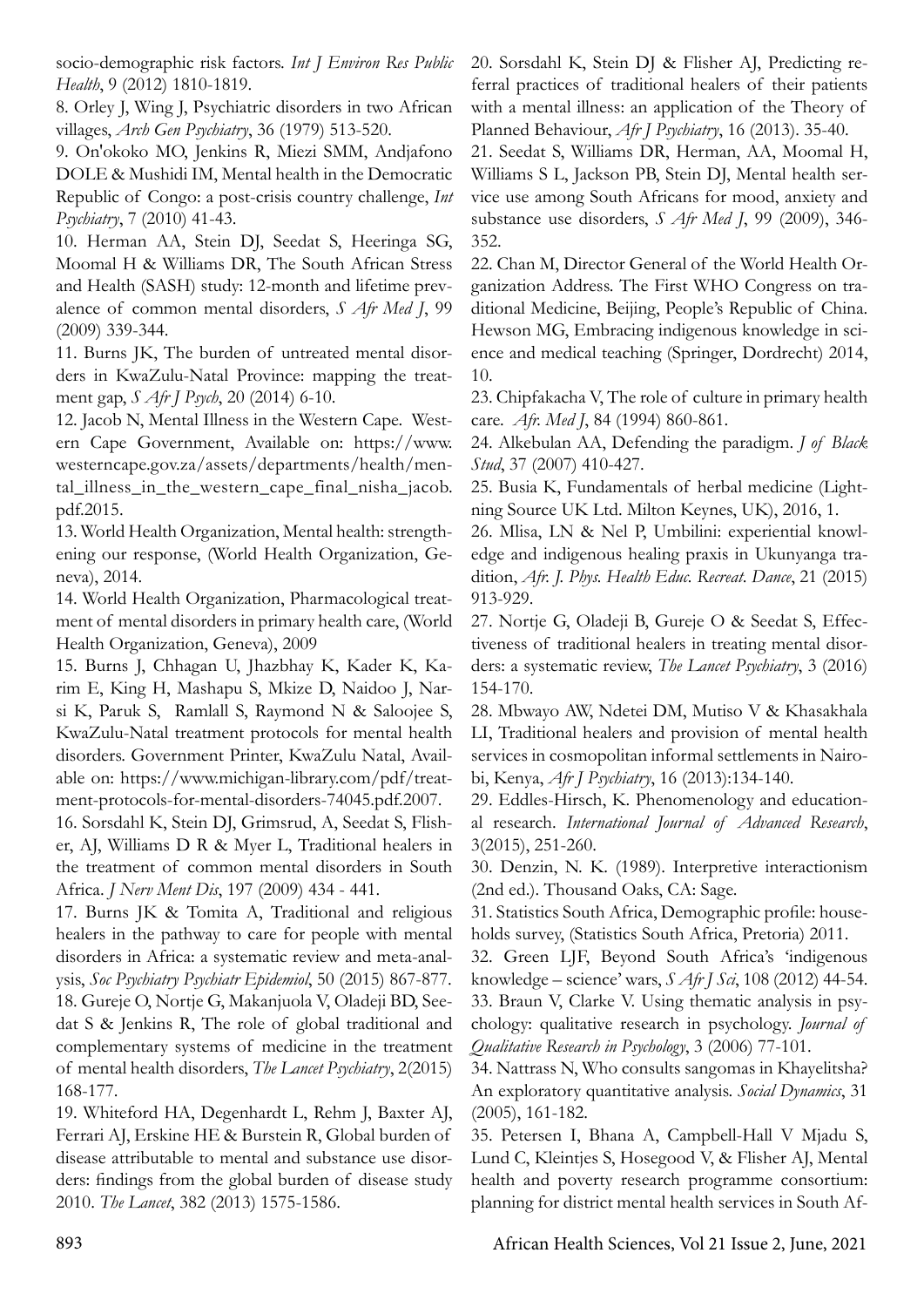socio-demographic risk factors. *Int J Environ Res Public Health*, 9 (2012) 1810-1819.

8. Orley J, Wing J, Psychiatric disorders in two African villages, *Arch Gen Psychiatry*, 36 (1979) 513-520.

9. On'okoko MO, Jenkins R, Miezi SMM, Andjafono DOLE & Mushidi IM, Mental health in the Democratic Republic of Congo: a post-crisis country challenge, *Int Psychiatry*, 7 (2010) 41-43.

10. Herman AA, Stein DJ, Seedat S, Heeringa SG, Moomal H & Williams DR, The South African Stress and Health (SASH) study: 12-month and lifetime prevalence of common mental disorders, *S Afr Med J*, 99 (2009) 339-344.

11. Burns JK, The burden of untreated mental disorders in KwaZulu-Natal Province: mapping the treatment gap, *S Afr J Psych*, 20 (2014) 6-10.

12. Jacob N, Mental Illness in the Western Cape. Western Cape Government, Available on: https://www. westerncape.gov.za/assets/departments/health/mental illness in the western cape final nisha jacob. pdf.2015.

13. World Health Organization, Mental health: strengthening our response, (World Health Organization, Geneva), 2014.

14. World Health Organization, Pharmacological treatment of mental disorders in primary health care, (World Health Organization, Geneva), 2009

15. Burns J, Chhagan U, Jhazbhay K, Kader K, Karim E, King H, Mashapu S, Mkize D, Naidoo J, Narsi K, Paruk S, Ramlall S, Raymond N & Saloojee S, KwaZulu-Natal treatment protocols for mental health disorders. Government Printer, KwaZulu Natal, Available on: https://www.michigan-library.com/pdf/treatment-protocols-for-mental-disorders-74045.pdf.2007.

16. Sorsdahl K, Stein DJ, Grimsrud, A, Seedat S, Flisher, AJ, Williams D R & Myer L, Traditional healers in the treatment of common mental disorders in South Africa. *J Nerv Ment Dis*, 197 (2009) 434 - 441.

17. Burns JK & Tomita A, Traditional and religious healers in the pathway to care for people with mental disorders in Africa: a systematic review and meta-analysis, *Soc Psychiatry Psychiatr Epidemiol*, 50 (2015) 867-877. 18. Gureje O, Nortje G, Makanjuola V, Oladeji BD, Seedat S & Jenkins R, The role of global traditional and complementary systems of medicine in the treatment of mental health disorders, *The Lancet Psychiatry*, 2(2015) 168-177.

19. Whiteford HA, Degenhardt L, Rehm J, Baxter AJ, Ferrari AJ, Erskine HE & Burstein R, Global burden of disease attributable to mental and substance use disorders: findings from the global burden of disease study 2010. *The Lancet*, 382 (2013) 1575-1586.

20. Sorsdahl K, Stein DJ & Flisher AJ, Predicting referral practices of traditional healers of their patients with a mental illness: an application of the Theory of Planned Behaviour, *Afr J Psychiatry*, 16 (2013). 35-40.

21. Seedat S, Williams DR, Herman, AA, Moomal H, Williams S L, Jackson PB, Stein DJ, Mental health service use among South Africans for mood, anxiety and substance use disorders, *S Afr Med J*, 99 (2009), 346- 352.

22. Chan M, Director General of the World Health Organization Address. The First WHO Congress on traditional Medicine, Beijing, People's Republic of China. Hewson MG, Embracing indigenous knowledge in science and medical teaching (Springer, Dordrecht) 2014, 10.

23. Chipfakacha V, The role of culture in primary health care. *Afr. Med J*, 84 (1994) 860-861.

24. Alkebulan AA, Defending the paradigm. *J of Black Stud*, 37 (2007) 410-427.

25. Busia K, Fundamentals of herbal medicine (Lightning Source UK Ltd. Milton Keynes, UK), 2016, 1.

26. Mlisa, LN & Nel P, Umbilini: experiential knowledge and indigenous healing praxis in Ukunyanga tradition, *Afr. J. Phys. Health Educ. Recreat*. *Dance*, 21 (2015) 913-929.

27. Nortje G, Oladeji B, Gureje O & Seedat S, Effectiveness of traditional healers in treating mental disorders: a systematic review, *The Lancet Psychiatry*, 3 (2016) 154-170.

28. Mbwayo AW, Ndetei DM, Mutiso V & Khasakhala LI, Traditional healers and provision of mental health services in cosmopolitan informal settlements in Nairobi, Kenya, *Afr J Psychiatry*, 16 (2013):134-140.

29. Eddles-Hirsch, K. Phenomenology and educational research. *International Journal of Advanced Research*, 3(2015), 251-260.

30. Denzin, N. K. (1989). Interpretive interactionism (2nd ed.). Thousand Oaks, CA: Sage.

31. Statistics South Africa, Demographic profile: households survey, (Statistics South Africa, Pretoria) 2011.

32. Green LJF, Beyond South Africa's 'indigenous knowledge – science' wars, *S Afr J Sci*, 108 (2012) 44-54. 33. Braun V, Clarke V. Using thematic analysis in psychology: qualitative research in psychology. *Journal of Qualitative Research in Psychology*, 3 (2006) 77-101.

34. Nattrass N, Who consults sangomas in Khayelitsha? An exploratory quantitative analysis. *Social Dynamics*, 31 (2005), 161-182.

35. Petersen I, Bhana A, Campbell-Hall V Mjadu S, Lund C, Kleintjes S, Hosegood V, & Flisher AJ, Mental health and poverty research programme consortium: planning for district mental health services in South Af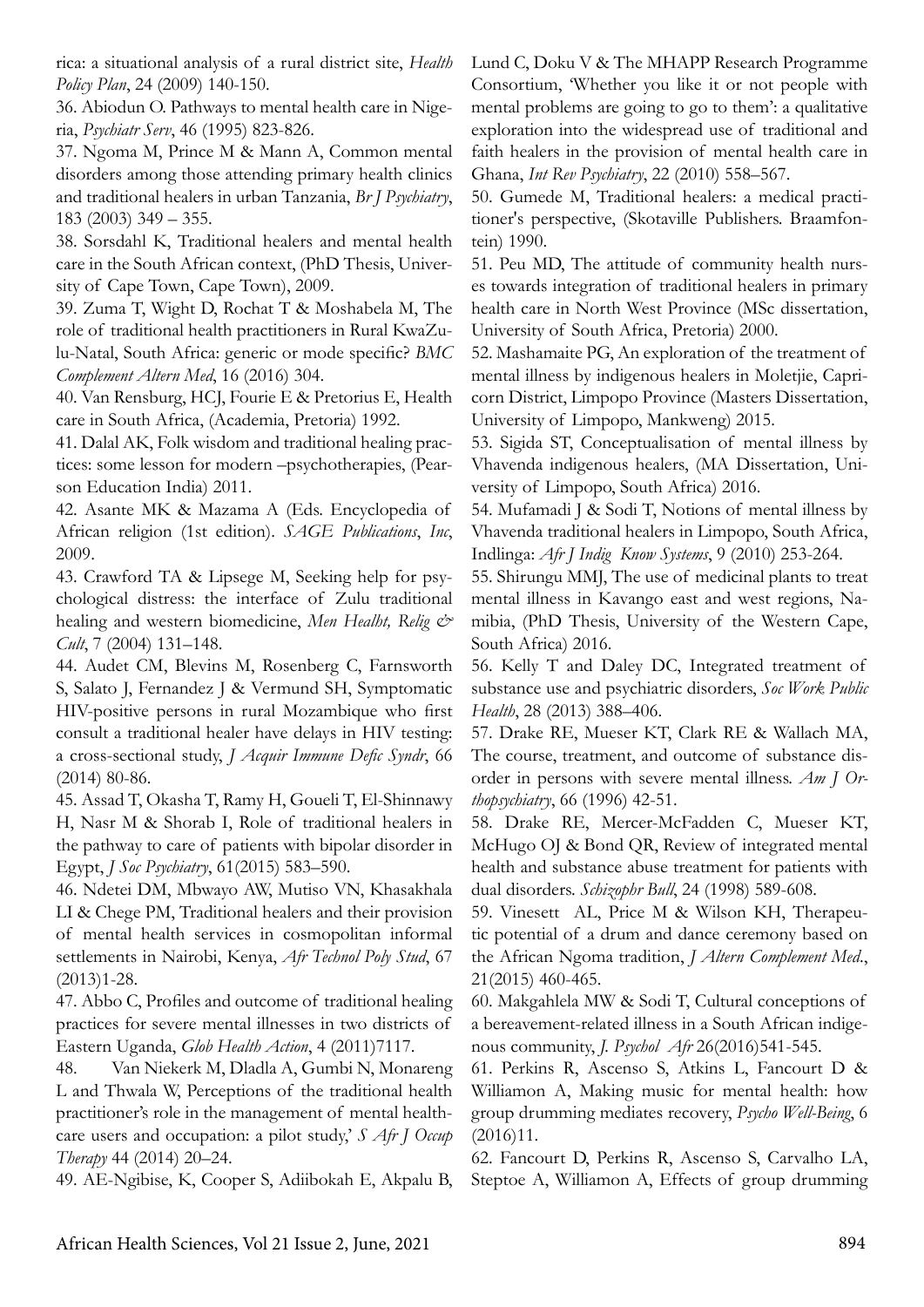rica: a situational analysis of a rural district site, *Health Policy Plan*, 24 (2009) 140-150.

36. Abiodun O. Pathways to mental health care in Nigeria, *Psychiatr Serv*, 46 (1995) 823-826.

37. Ngoma M, Prince M & Mann A, Common mental disorders among those attending primary health clinics and traditional healers in urban Tanzania, *Br J Psychiatry*, 183 (2003) 349 – 355.

38. Sorsdahl K, Traditional healers and mental health care in the South African context, (PhD Thesis, University of Cape Town, Cape Town), 2009.

39. Zuma T, Wight D, Rochat T & Moshabela M, The role of traditional health practitioners in Rural KwaZulu-Natal, South Africa: generic or mode specific? *BMC Complement Altern Med*, 16 (2016) 304.

40. Van Rensburg, HCJ, Fourie E & Pretorius E, Health care in South Africa, (Academia, Pretoria) 1992.

41. Dalal AK, Folk wisdom and traditional healing practices: some lesson for modern –psychotherapies, (Pearson Education India) 2011.

42. Asante MK & Mazama A (Eds. Encyclopedia of African religion (1st edition). *SAGE Publications*, *Inc*, 2009.

43. Crawford TA & Lipsege M, Seeking help for psychological distress: the interface of Zulu traditional healing and western biomedicine, *Men Healht, Relig & Cult*, 7 (2004) 131–148.

44. Audet CM, Blevins M, Rosenberg C, Farnsworth S, Salato J, Fernandez J & Vermund SH, Symptomatic HIV-positive persons in rural Mozambique who first consult a traditional healer have delays in HIV testing: a cross-sectional study, *J Acquir Immune Defic Syndr*, 66 (2014) 80-86.

45. Assad T, Okasha T, Ramy H, Goueli T, El-Shinnawy H, Nasr M & Shorab I, Role of traditional healers in the pathway to care of patients with bipolar disorder in Egypt, *J Soc Psychiatry*, 61(2015) 583–590.

46. Ndetei DM, Mbwayo AW, Mutiso VN, Khasakhala LI & Chege PM, Traditional healers and their provision of mental health services in cosmopolitan informal settlements in Nairobi, Kenya, *Afr Technol Poly Stud*, 67  $(2013)1 - 28$ .

47. Abbo C, Profiles and outcome of traditional healing practices for severe mental illnesses in two districts of Eastern Uganda, *Glob Health Action*, 4 (2011)7117.

48. Van Niekerk M, Dladla A, Gumbi N, Monareng L and Thwala W, Perceptions of the traditional health practitioner's role in the management of mental healthcare users and occupation: a pilot study,' *S Afr J Occup Therapy* 44 (2014) 20–24.

49. AE-Ngibise, K, Cooper S, Adiibokah E, Akpalu B,

Lund C, Doku V & The MHAPP Research Programme Consortium, 'Whether you like it or not people with mental problems are going to go to them': a qualitative exploration into the widespread use of traditional and faith healers in the provision of mental health care in Ghana, *Int Rev Psychiatry*, 22 (2010) 558–567.

50. Gumede M, Traditional healers: a medical practitioner's perspective, (Skotaville Publishers. Braamfontein) 1990.

51. Peu MD, The attitude of community health nurses towards integration of traditional healers in primary health care in North West Province (MSc dissertation, University of South Africa, Pretoria) 2000.

52. Mashamaite PG, An exploration of the treatment of mental illness by indigenous healers in Moletjie, Capricorn District, Limpopo Province (Masters Dissertation, University of Limpopo, Mankweng) 2015.

53. Sigida ST, Conceptualisation of mental illness by Vhavenda indigenous healers, (MA Dissertation, University of Limpopo, South Africa) 2016.

54. Mufamadi J & Sodi T, Notions of mental illness by Vhavenda traditional healers in Limpopo, South Africa, Indlinga: *Afr J Indig Know Systems*, 9 (2010) 253-264.

55. Shirungu MMJ, The use of medicinal plants to treat mental illness in Kavango east and west regions, Namibia, (PhD Thesis, University of the Western Cape, South Africa) 2016.

56. Kelly T and Daley DC, Integrated treatment of substance use and psychiatric disorders, *Soc Work Public Health*, 28 (2013) 388–406.

57. Drake RE, Mueser KT, Clark RE & Wallach MA, The course, treatment, and outcome of substance disorder in persons with severe mental illness. *Am J Orthopsychiatry*, 66 (1996) 42-51.

58. Drake RE, Mercer-McFadden C, Mueser KT, McHugo OJ & Bond QR, Review of integrated mental health and substance abuse treatment for patients with dual disorders. *Schizophr Bull*, 24 (1998) 589-608.

59. Vinesett AL, Price M & Wilson KH, Therapeutic potential of a drum and dance ceremony based on the African Ngoma tradition, *J Altern Complement Med*., 21(2015) 460-465.

60. Makgahlela MW & Sodi T, Cultural conceptions of a bereavement-related illness in a South African indigenous community, *J. Psychol Afr* 26(2016)541-545.

61. Perkins R, Ascenso S, Atkins L, Fancourt D & Williamon A, Making music for mental health: how group drumming mediates recovery, *Psycho Well-Being*, 6 (2016)11.

62. Fancourt D, Perkins R, Ascenso S, Carvalho LA, Steptoe A, Williamon A, Effects of group drumming